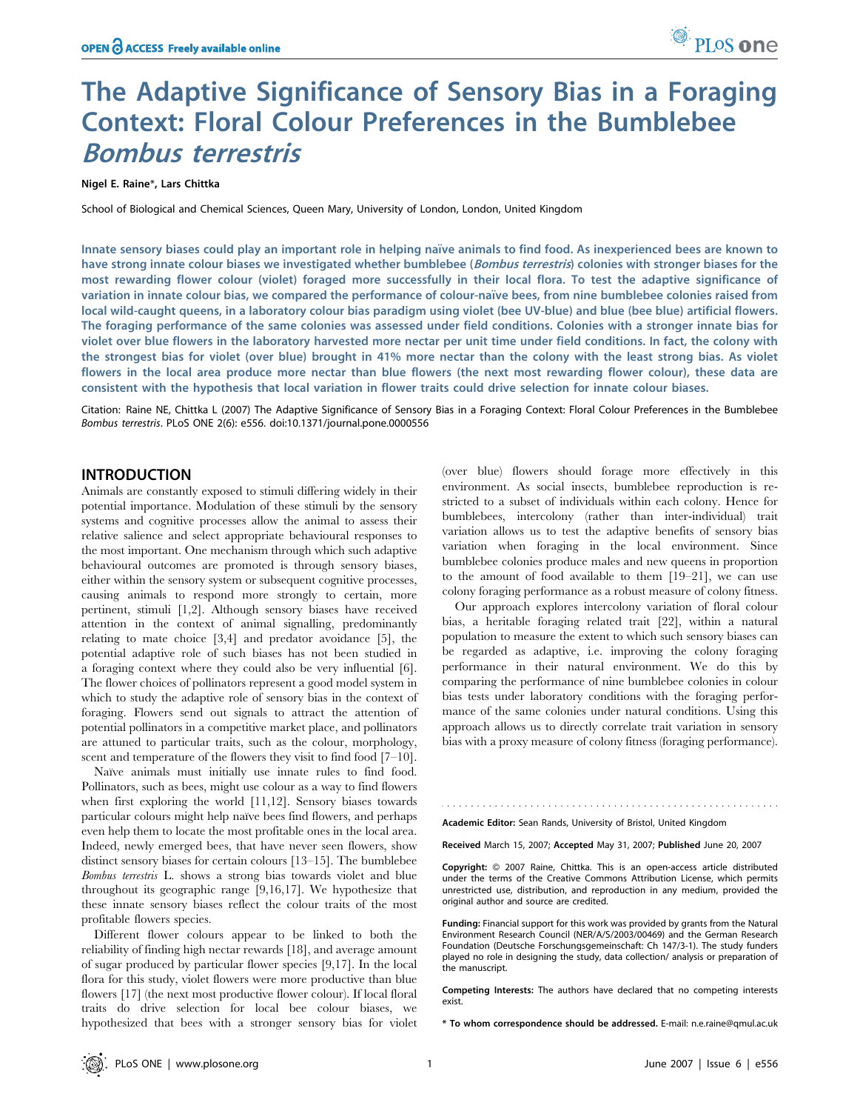# The Adaptive Significance of Sensory Bias in a Foraging Context: Floral Colour Preferences in the Bumblebee Bombus terrestris

## Nigel E. Raine\*, Lars Chittka

School of Biological and Chemical Sciences, Queen Mary, University of London, London, United Kingdom

Innate sensory biases could play an important role in helping naïve animals to find food. As inexperienced bees are known to have strong innate colour biases we investigated whether bumblebee (Bombus terrestris) colonies with stronger biases for the most rewarding flower colour (violet) foraged more successfully in their local flora. To test the adaptive significance of variation in innate colour bias, we compared the performance of colour-naïve bees, from nine bumblebee colonies raised from local wild-caught queens, in a laboratory colour bias paradigm using violet (bee UV-blue) and blue (bee blue) artificial flowers. The foraging performance of the same colonies was assessed under field conditions. Colonies with a stronger innate bias for violet over blue flowers in the laboratory harvested more nectar per unit time under field conditions. In fact, the colony with the strongest bias for violet (over blue) brought in 41% more nectar than the colony with the least strong bias. As violet flowers in the local area produce more nectar than blue flowers (the next most rewarding flower colour), these data are consistent with the hypothesis that local variation in flower traits could drive selection for innate colour biases.

Citation: Raine NE, Chittka L (2007) The Adaptive Significance of Sensory Bias in a Foraging Context: Floral Colour Preferences in the Bumblebee Bombus terrestris. PLoS ONE 2(6): e556. doi:10.1371/journal.pone.0000556

## INTRODUCTION

Animals are constantly exposed to stimuli differing widely in their potential importance. Modulation of these stimuli by the sensory systems and cognitive processes allow the animal to assess their relative salience and select appropriate behavioural responses to the most important. One mechanism through which such adaptive behavioural outcomes are promoted is through sensory biases, either within the sensory system or subsequent cognitive processes, causing animals to respond more strongly to certain, more pertinent, stimuli [1,2]. Although sensory biases have received attention in the context of animal signalling, predominantly relating to mate choice [3,4] and predator avoidance [5], the potential adaptive role of such biases has not been studied in a foraging context where they could also be very influential [6]. The flower choices of pollinators represent a good model system in which to study the adaptive role of sensory bias in the context of foraging. Flowers send out signals to attract the attention of potential pollinators in a competitive market place, and pollinators are attuned to particular traits, such as the colour, morphology, scent and temperature of the flowers they visit to find food [7–10].

Naïve animals must initially use innate rules to find food. Pollinators, such as bees, might use colour as a way to find flowers when first exploring the world [11,12]. Sensory biases towards particular colours might help naïve bees find flowers, and perhaps even help them to locate the most profitable ones in the local area. Indeed, newly emerged bees, that have never seen flowers, show distinct sensory biases for certain colours [13–15]. The bumblebee Bombus terrestris L. shows a strong bias towards violet and blue throughout its geographic range [9,16,17]. We hypothesize that these innate sensory biases reflect the colour traits of the most profitable flowers species.

Different flower colours appear to be linked to both the reliability of finding high nectar rewards [18], and average amount of sugar produced by particular flower species [9,17]. In the local flora for this study, violet flowers were more productive than blue flowers [17] (the next most productive flower colour). If local floral traits do drive selection for local bee colour biases, we hypothesized that bees with a stronger sensory bias for violet (over blue) flowers should forage more effectively in this environment. As social insects, bumblebee reproduction is restricted to a subset of individuals within each colony. Hence for bumblebees, intercolony (rather than inter-individual) trait variation allows us to test the adaptive benefits of sensory bias variation when foraging in the local environment. Since bumblebee colonies produce males and new queens in proportion to the amount of food available to them [19–21], we can use colony foraging performance as a robust measure of colony fitness.

Our approach explores intercolony variation of floral colour bias, a heritable foraging related trait [22], within a natural population to measure the extent to which such sensory biases can be regarded as adaptive, i.e. improving the colony foraging performance in their natural environment. We do this by comparing the performance of nine bumblebee colonies in colour bias tests under laboratory conditions with the foraging performance of the same colonies under natural conditions. Using this approach allows us to directly correlate trait variation in sensory bias with a proxy measure of colony fitness (foraging performance).

Academic Editor: Sean Rands, University of Bristol, United Kingdom

Received March 15, 2007; Accepted May 31, 2007; Published June 20, 2007

Copyright: 2007 Raine, Chittka. This is an open-access article distributed under the terms of the Creative Commons Attribution License, which permits unrestricted use, distribution, and reproduction in any medium, provided the original author and source are credited.

Funding: Financial support for this work was provided by grants from the Natural Environment Research Council (NER/A/S/2003/00469) and the German Research Foundation (Deutsche Forschungsgemeinschaft: Ch 147/3-1). The study funders played no role in designing the study, data collection/ analysis or preparation of the manuscript.

Competing Interests: The authors have declared that no competing interests exist.

\* To whom correspondence should be addressed. E-mail: n.e.raine@qmul.ac.uk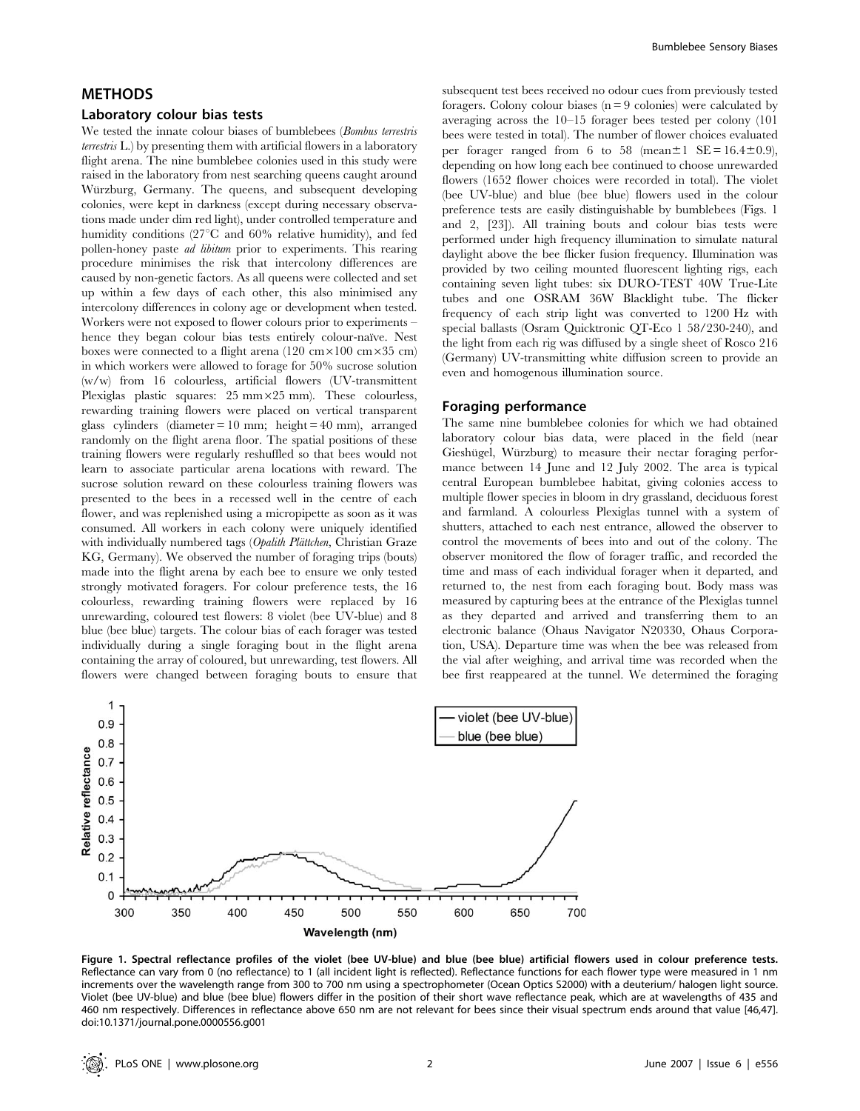## METHODS

#### Laboratory colour bias tests

We tested the innate colour biases of bumblebees (Bombus terrestris terrestris L.) by presenting them with artificial flowers in a laboratory flight arena. The nine bumblebee colonies used in this study were raised in the laboratory from nest searching queens caught around Würzburg, Germany. The queens, and subsequent developing colonies, were kept in darkness (except during necessary observations made under dim red light), under controlled temperature and humidity conditions (27<sup>°</sup>C and 60<sup>%</sup> relative humidity), and fed pollen-honey paste ad libitum prior to experiments. This rearing procedure minimises the risk that intercolony differences are caused by non-genetic factors. As all queens were collected and set up within a few days of each other, this also minimised any intercolony differences in colony age or development when tested. Workers were not exposed to flower colours prior to experiments – hence they began colour bias tests entirely colour-naïve. Nest boxes were connected to a flight arena (120 cm $\times$ 100 cm $\times$ 35 cm) in which workers were allowed to forage for 50% sucrose solution (w/w) from 16 colourless, artificial flowers (UV-transmittent Plexiglas plastic squares:  $25 \text{ mm} \times 25 \text{ mm}$ ). These colourless, rewarding training flowers were placed on vertical transparent glass cylinders (diameter  $= 10$  mm; height  $= 40$  mm), arranged randomly on the flight arena floor. The spatial positions of these training flowers were regularly reshuffled so that bees would not learn to associate particular arena locations with reward. The sucrose solution reward on these colourless training flowers was presented to the bees in a recessed well in the centre of each flower, and was replenished using a micropipette as soon as it was consumed. All workers in each colony were uniquely identified with individually numbered tags (Opalith Plättchen, Christian Graze KG, Germany). We observed the number of foraging trips (bouts) made into the flight arena by each bee to ensure we only tested strongly motivated foragers. For colour preference tests, the 16 colourless, rewarding training flowers were replaced by 16 unrewarding, coloured test flowers: 8 violet (bee UV-blue) and 8 blue (bee blue) targets. The colour bias of each forager was tested individually during a single foraging bout in the flight arena containing the array of coloured, but unrewarding, test flowers. All flowers were changed between foraging bouts to ensure that

subsequent test bees received no odour cues from previously tested foragers. Colony colour biases  $(n = 9 \text{ colonies})$  were calculated by averaging across the 10–15 forager bees tested per colony (101 bees were tested in total). The number of flower choices evaluated per forager ranged from 6 to 58 (mean $\pm 1$  SE = 16.4 $\pm$ 0.9), depending on how long each bee continued to choose unrewarded flowers (1652 flower choices were recorded in total). The violet (bee UV-blue) and blue (bee blue) flowers used in the colour preference tests are easily distinguishable by bumblebees (Figs. 1 and 2, [23]). All training bouts and colour bias tests were performed under high frequency illumination to simulate natural daylight above the bee flicker fusion frequency. Illumination was provided by two ceiling mounted fluorescent lighting rigs, each containing seven light tubes: six DURO-TEST 40W True-Lite tubes and one OSRAM 36W Blacklight tube. The flicker frequency of each strip light was converted to 1200 Hz with special ballasts (Osram Quicktronic QT-Eco 1 58/230-240), and the light from each rig was diffused by a single sheet of Rosco 216 (Germany) UV-transmitting white diffusion screen to provide an even and homogenous illumination source.

#### Foraging performance

The same nine bumblebee colonies for which we had obtained laboratory colour bias data, were placed in the field (near Gieshügel, Würzburg) to measure their nectar foraging performance between 14 June and 12 July 2002. The area is typical central European bumblebee habitat, giving colonies access to multiple flower species in bloom in dry grassland, deciduous forest and farmland. A colourless Plexiglas tunnel with a system of shutters, attached to each nest entrance, allowed the observer to control the movements of bees into and out of the colony. The observer monitored the flow of forager traffic, and recorded the time and mass of each individual forager when it departed, and returned to, the nest from each foraging bout. Body mass was measured by capturing bees at the entrance of the Plexiglas tunnel as they departed and arrived and transferring them to an electronic balance (Ohaus Navigator N20330, Ohaus Corporation, USA). Departure time was when the bee was released from the vial after weighing, and arrival time was recorded when the bee first reappeared at the tunnel. We determined the foraging



Figure 1. Spectral reflectance profiles of the violet (bee UV-blue) and blue (bee blue) artificial flowers used in colour preference tests. Reflectance can vary from 0 (no reflectance) to 1 (all incident light is reflected). Reflectance functions for each flower type were measured in 1 nm increments over the wavelength range from 300 to 700 nm using a spectrophometer (Ocean Optics S2000) with a deuterium/ halogen light source. Violet (bee UV-blue) and blue (bee blue) flowers differ in the position of their short wave reflectance peak, which are at wavelengths of 435 and 460 nm respectively. Differences in reflectance above 650 nm are not relevant for bees since their visual spectrum ends around that value [46,47]. doi:10.1371/journal.pone.0000556.g001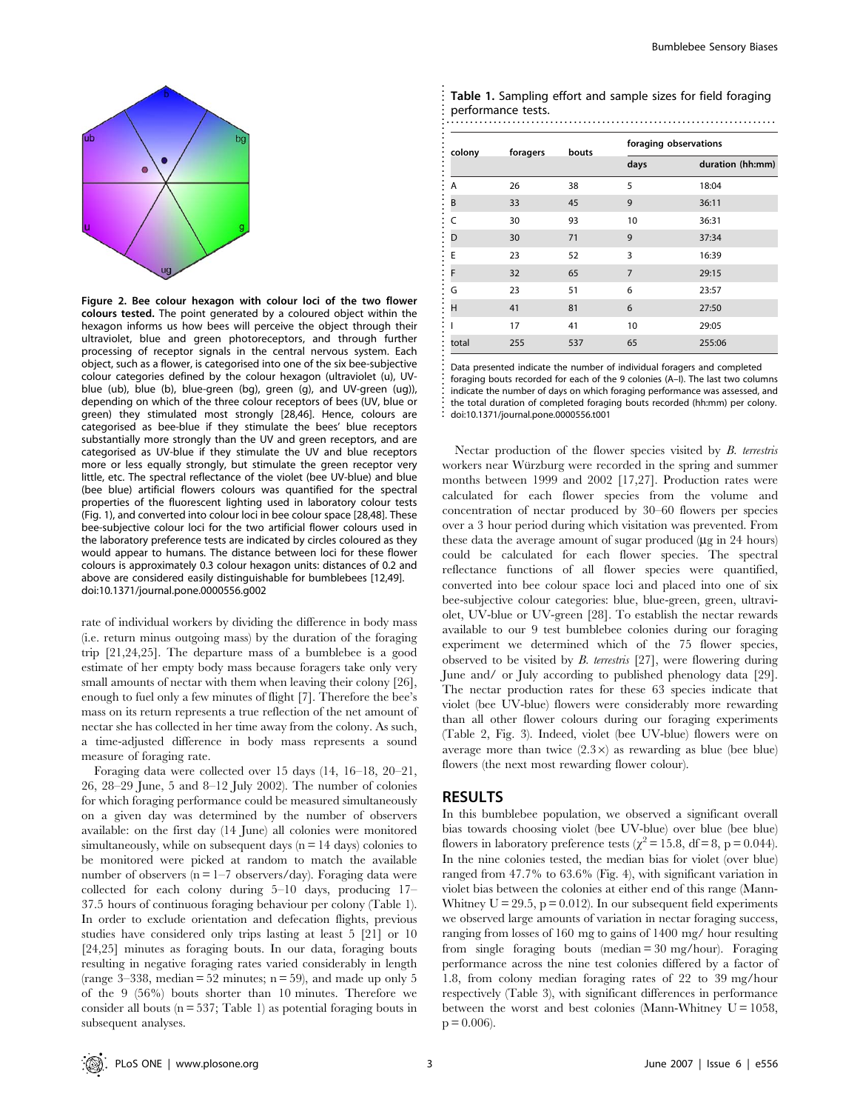

Figure 2. Bee colour hexagon with colour loci of the two flower colours tested. The point generated by a coloured object within the hexagon informs us how bees will perceive the object through their ultraviolet, blue and green photoreceptors, and through further processing of receptor signals in the central nervous system. Each object, such as a flower, is categorised into one of the six bee-subjective colour categories defined by the colour hexagon (ultraviolet (u), UVblue (ub), blue (b), blue-green (bg), green (g), and UV-green (ug)), depending on which of the three colour receptors of bees (UV, blue or green) they stimulated most strongly [28,46]. Hence, colours are categorised as bee-blue if they stimulate the bees' blue receptors substantially more strongly than the UV and green receptors, and are categorised as UV-blue if they stimulate the UV and blue receptors more or less equally strongly, but stimulate the green receptor very little, etc. The spectral reflectance of the violet (bee UV-blue) and blue (bee blue) artificial flowers colours was quantified for the spectral properties of the fluorescent lighting used in laboratory colour tests (Fig. 1), and converted into colour loci in bee colour space [28,48]. These bee-subjective colour loci for the two artificial flower colours used in the laboratory preference tests are indicated by circles coloured as they would appear to humans. The distance between loci for these flower colours is approximately 0.3 colour hexagon units: distances of 0.2 and above are considered easily distinguishable for bumblebees [12,49]. doi:10.1371/journal.pone.0000556.g002

rate of individual workers by dividing the difference in body mass (i.e. return minus outgoing mass) by the duration of the foraging trip [21,24,25]. The departure mass of a bumblebee is a good estimate of her empty body mass because foragers take only very small amounts of nectar with them when leaving their colony [26], enough to fuel only a few minutes of flight [7]. Therefore the bee's mass on its return represents a true reflection of the net amount of nectar she has collected in her time away from the colony. As such, a time-adjusted difference in body mass represents a sound measure of foraging rate.

Foraging data were collected over 15 days (14, 16–18, 20–21, 26, 28–29 June, 5 and 8–12 July 2002). The number of colonies for which foraging performance could be measured simultaneously on a given day was determined by the number of observers available: on the first day (14 June) all colonies were monitored simultaneously, while on subsequent days  $(n = 14 \text{ days})$  colonies to be monitored were picked at random to match the available number of observers ( $n = 1-7$  observers/day). Foraging data were collected for each colony during 5–10 days, producing 17– 37.5 hours of continuous foraging behaviour per colony (Table 1). In order to exclude orientation and defecation flights, previous studies have considered only trips lasting at least 5 [21] or 10 [24,25] minutes as foraging bouts. In our data, foraging bouts resulting in negative foraging rates varied considerably in length (range  $3-338$ , median = 52 minutes; n = 59), and made up only 5 of the 9 (56%) bouts shorter than 10 minutes. Therefore we consider all bouts (n = 537; Table 1) as potential foraging bouts in subsequent analyses.

| Table 1. Sampling effort and sample sizes for field foraging |
|--------------------------------------------------------------|
| performance tests.                                           |
|                                                              |

| colony     | foragers | bouts |                | foraging observations |  |  |
|------------|----------|-------|----------------|-----------------------|--|--|
|            |          |       | days           | duration (hh:mm)      |  |  |
| A          | 26       | 38    | 5              | 18:04                 |  |  |
| B          | 33       | 45    | 9              | 36:11                 |  |  |
| $\epsilon$ | 30       | 93    | 10             | 36:31                 |  |  |
| D          | 30       | 71    | 9              | 37:34                 |  |  |
| E          | 23       | 52    | 3              | 16:39                 |  |  |
| F          | 32       | 65    | $\overline{7}$ | 29:15                 |  |  |
| G          | 23       | 51    | 6              | 23:57                 |  |  |
| н          | 41       | 81    | 6              | 27:50                 |  |  |
|            | 17       | 41    | 10             | 29:05                 |  |  |
| total      | 255      | 537   | 65             | 255:06                |  |  |

Data presented indicate the number of individual foragers and completed foraging bouts recorded for each of the 9 colonies (A–I). The last two columns indicate the number of days on which foraging performance was assessed, and the total duration of completed foraging bouts recorded (hh:mm) per colony. doi:10.1371/journal.pone.0000556.t001

Nectar production of the flower species visited by B. terrestris workers near Würzburg were recorded in the spring and summer months between 1999 and 2002 [17,27]. Production rates were calculated for each flower species from the volume and concentration of nectar produced by 30–60 flowers per species over a 3 hour period during which visitation was prevented. From these data the average amount of sugar produced  $(\mu g \text{ in } 24 \text{ hours})$ could be calculated for each flower species. The spectral reflectance functions of all flower species were quantified, converted into bee colour space loci and placed into one of six bee-subjective colour categories: blue, blue-green, green, ultraviolet, UV-blue or UV-green [28]. To establish the nectar rewards available to our 9 test bumblebee colonies during our foraging experiment we determined which of the 75 flower species, observed to be visited by B. terrestris [27], were flowering during June and/ or July according to published phenology data [29]. The nectar production rates for these 63 species indicate that violet (bee UV-blue) flowers were considerably more rewarding than all other flower colours during our foraging experiments (Table 2, Fig. 3). Indeed, violet (bee UV-blue) flowers were on average more than twice  $(2.3 \times)$  as rewarding as blue (bee blue) flowers (the next most rewarding flower colour).

# RESULTS

.......................................................................

In this bumblebee population, we observed a significant overall bias towards choosing violet (bee UV-blue) over blue (bee blue) flowers in laboratory preference tests ( $\chi^2 = 15.8$ , df = 8, p = 0.044). In the nine colonies tested, the median bias for violet (over blue) ranged from 47.7% to 63.6% (Fig. 4), with significant variation in violet bias between the colonies at either end of this range (Mann-Whitney  $U = 29.5$ ,  $p = 0.012$ ). In our subsequent field experiments we observed large amounts of variation in nectar foraging success, ranging from losses of 160 mg to gains of 1400 mg/ hour resulting from single foraging bouts (median = 30 mg/hour). Foraging performance across the nine test colonies differed by a factor of 1.8, from colony median foraging rates of 22 to 39 mg/hour respectively (Table 3), with significant differences in performance between the worst and best colonies (Mann-Whitney  $U = 1058$ ,  $p = 0.006$ ).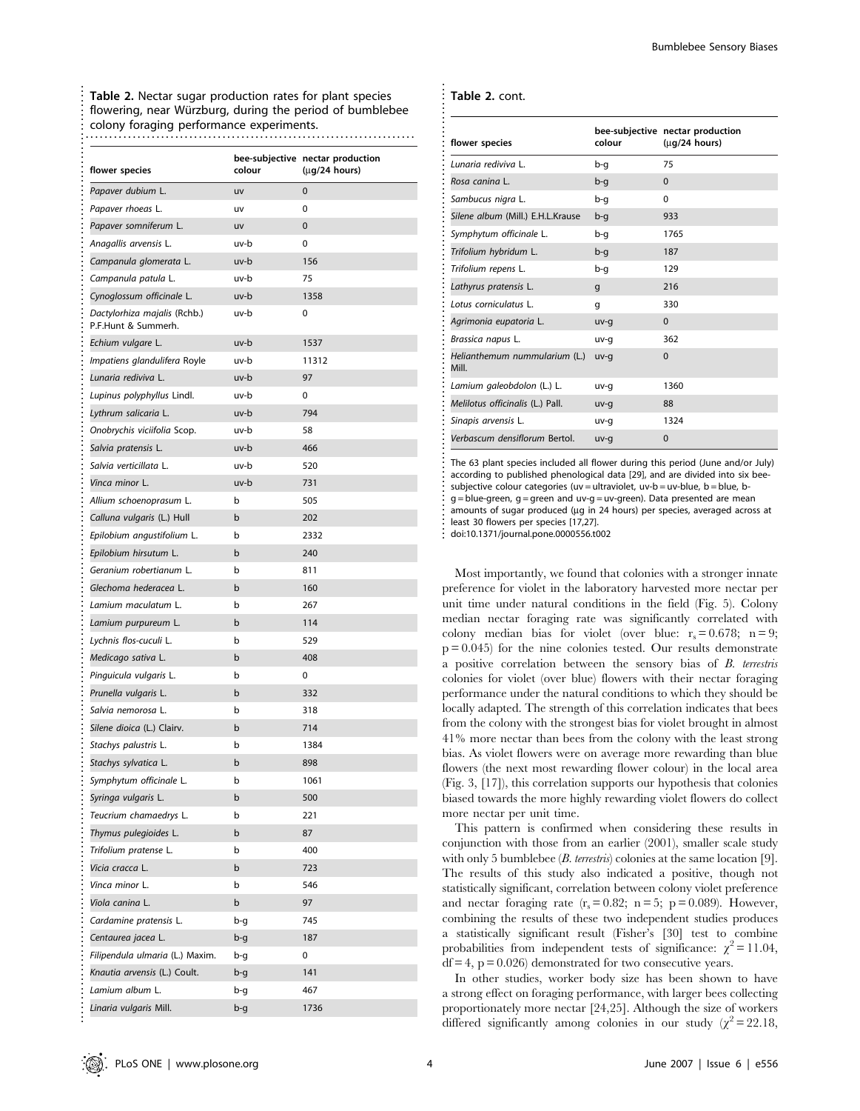| flower species                                      | colour      | bee-subjective nectar production<br>$(\mu$ g/24 hours) |
|-----------------------------------------------------|-------------|--------------------------------------------------------|
| Papaver dubium L.                                   | uv          | $\mathbf 0$                                            |
| Papaver rhoeas L.                                   | uv          | 0                                                      |
| Papaver somniferum L.                               | uv          | $\mathbf{0}$                                           |
| Anagallis arvensis L.                               | uv-b        | 0                                                      |
| Campanula glomerata L.                              | uv-b        | 156                                                    |
| Campanula patula L.                                 | uv-b        | 75                                                     |
| Cynoglossum officinale L.                           | uv-b        | 1358                                                   |
| Dactylorhiza majalis (Rchb.)<br>P.F.Hunt & Summerh. | uv-b        | 0                                                      |
| Echium vulgare L.                                   | uv-b        | 1537                                                   |
| Impatiens glandulifera Royle                        | uv-b        | 11312                                                  |
| Lunaria rediviva L.                                 | uv-b        | 97                                                     |
| Lupinus polyphyllus Lindl.                          | uv-b        | 0                                                      |
| Lythrum salicaria L.                                | uv-b        | 794                                                    |
| Onobrychis viciifolia Scop.                         | uv-b        | 58                                                     |
| Salvia pratensis L.                                 | uv-b        | 466                                                    |
| Salvia verticillata L.                              | uv-b        | 520                                                    |
| Vinca minor L.                                      | uv-b        | 731                                                    |
| Allium schoenoprasum L.                             | b           | 505                                                    |
| Calluna vulgaris (L.) Hull                          | $\mathsf b$ | 202                                                    |
| Epilobium angustifolium L.                          | b           | 2332                                                   |
| Epilobium hirsutum L.                               | b           | 240                                                    |
| Geranium robertianum L.                             | b           | 811                                                    |
| Glechoma hederacea L.                               | $\mathsf b$ | 160                                                    |
| Lamium maculatum L.                                 | b           | 267                                                    |
| Lamium purpureum L.                                 | $\mathsf b$ | 114                                                    |
| Lychnis flos-cuculi L.                              | b           | 529                                                    |
| Medicago sativa L.                                  | $\mathsf b$ | 408                                                    |
| Pinguicula vulgaris L.                              | b           | 0                                                      |
| Prunella vulgaris L.                                | $\mathsf b$ | 332                                                    |
| Salvia nemorosa L.                                  | b           | 318                                                    |
| Silene dioica (L.) Clairv.                          | b           | 714                                                    |
| Stachys palustris L.                                | b           | 1384                                                   |
| Stachys sylvatica L.                                | $\mathsf b$ | 898                                                    |
| Symphytum officinale L                              | b           | 1061                                                   |
| Syringa vulgaris L.                                 | b           | 500                                                    |
| Teucrium chamaedrys L.                              | b           | 221                                                    |
| Thymus pulegioides L.                               | b           | 87                                                     |
| Trifolium pratense L.                               | b           | 400                                                    |
| Vicia cracca L.                                     | b           | 723                                                    |
| Vinca minor L.                                      | b           | 546                                                    |
| Viola canina L.                                     | b           | 97                                                     |
| Cardamine pratensis L.                              | b-g         | 745                                                    |
| Centaurea jacea L.                                  | b-g         | 187                                                    |
| Filipendula ulmaria (L.) Maxim.                     | b-g         | 0                                                      |
| Knautia arvensis (L.) Coult.                        | b-g         | 141                                                    |
| Lamium album L.                                     | b-g         | 467                                                    |
| Linaria vulgaris Mill.                              | b-g         | 1736                                                   |

............................................................................................................................... ........................................................................

| Table 2. cont. |  |
|----------------|--|
|----------------|--|

| flower species                         | colour | bee-subjective nectar production<br>$(\mu q/24 \text{ hours})$ |
|----------------------------------------|--------|----------------------------------------------------------------|
| Lunaria rediviva L.                    | b-q    | 75                                                             |
| Rosa canina L.                         | b-q    | $\Omega$                                                       |
| Sambucus nigra L.                      | b-q    | $\Omega$                                                       |
| Silene album (Mill.) E.H.L.Krause      | b-q    | 933                                                            |
| Symphytum officinale L.                | b-q    | 1765                                                           |
| Trifolium hybridum L.                  | b-q    | 187                                                            |
| Trifolium repens L.                    | b-q    | 129                                                            |
| Lathyrus pratensis L.                  | q      | 216                                                            |
| Lotus corniculatus L.                  | q      | 330                                                            |
| Agrimonia eupatoria L.                 | uv-q   | $\Omega$                                                       |
| Brassica napus L.                      | uv-q   | 362                                                            |
| Helianthemum nummularium (L.)<br>Mill. | uv-q   | $\Omega$                                                       |
| Lamium galeobdolon (L.) L.             | uv-q   | 1360                                                           |
| Melilotus officinalis (L.) Pall.       | uv-q   | 88                                                             |
| Sinapis arvensis L.                    | uv-q   | 1324                                                           |
| Verbascum densiflorum Bertol.          | uv-g   | $\Omega$                                                       |

The 63 plant species included all flower during this period (June and/or July) according to published phenological data [29], and are divided into six beesubjective colour categories (uv = ultraviolet, uv-b = uv-blue, b = blue, bg = blue-green, g = green and uv-g = uv-green). Data presented are mean amounts of sugar produced (µg in 24 hours) per species, averaged across at least 30 flowers per species [17,27].

................................................................................................. doi:10.1371/journal.pone.0000556.t002

Most importantly, we found that colonies with a stronger innate preference for violet in the laboratory harvested more nectar per unit time under natural conditions in the field (Fig. 5). Colony median nectar foraging rate was significantly correlated with colony median bias for violet (over blue:  $r_s = 0.678$ ; n = 9;  $p = 0.045$ ) for the nine colonies tested. Our results demonstrate a positive correlation between the sensory bias of B. terrestris colonies for violet (over blue) flowers with their nectar foraging performance under the natural conditions to which they should be locally adapted. The strength of this correlation indicates that bees from the colony with the strongest bias for violet brought in almost 41% more nectar than bees from the colony with the least strong bias. As violet flowers were on average more rewarding than blue flowers (the next most rewarding flower colour) in the local area (Fig. 3, [17]), this correlation supports our hypothesis that colonies biased towards the more highly rewarding violet flowers do collect more nectar per unit time.

This pattern is confirmed when considering these results in conjunction with those from an earlier (2001), smaller scale study with only 5 bumblebee ( $B$ . terrestris) colonies at the same location [9]. The results of this study also indicated a positive, though not statistically significant, correlation between colony violet preference and nectar foraging rate  $(r_s = 0.82; n = 5; p = 0.089)$ . However, combining the results of these two independent studies produces a statistically significant result (Fisher's [30] test to combine probabilities from independent tests of significance:  $\chi^2 = 11.04$ ,  $df = 4$ ,  $p = 0.026$ ) demonstrated for two consecutive years.

In other studies, worker body size has been shown to have a strong effect on foraging performance, with larger bees collecting proportionately more nectar [24,25]. Although the size of workers differed significantly among colonies in our study  $(\chi^2=22.18,$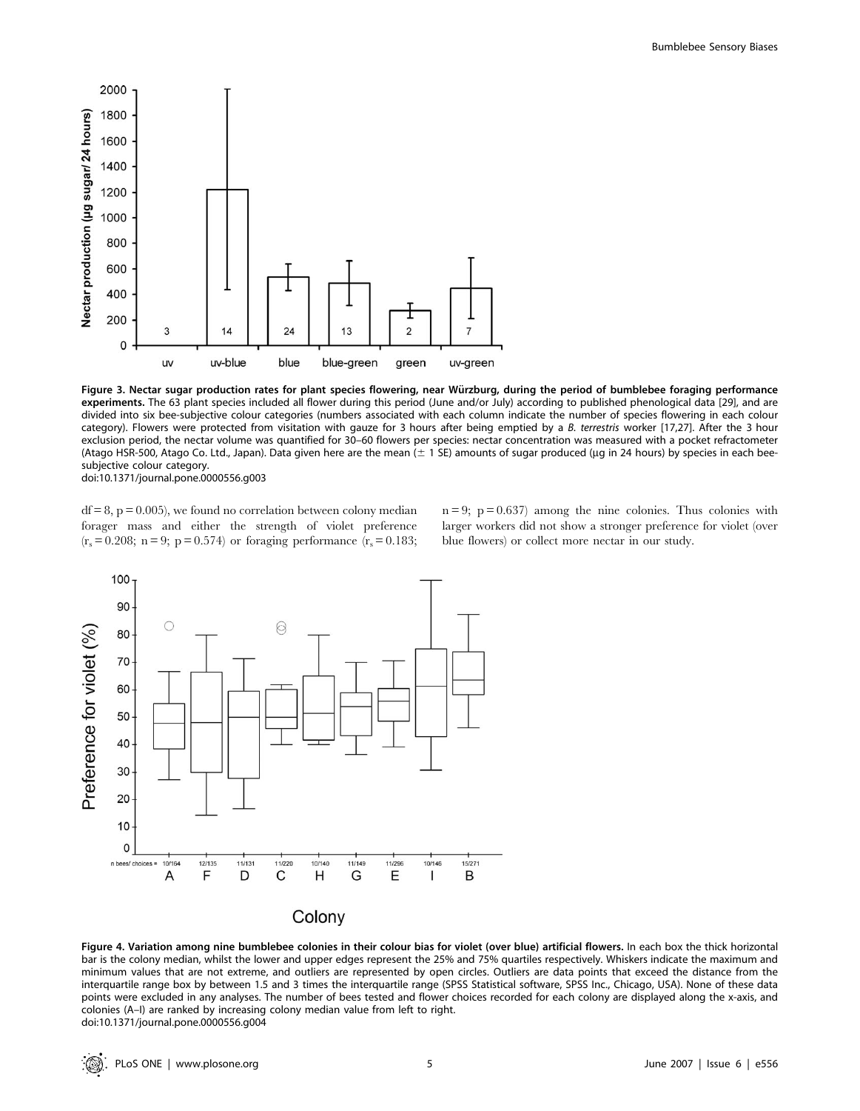

Figure 3. Nectar sugar production rates for plant species flowering, near Würzburg, during the period of bumblebee foraging performance experiments. The 63 plant species included all flower during this period (June and/or July) according to published phenological data [29], and are divided into six bee-subjective colour categories (numbers associated with each column indicate the number of species flowering in each colour category). Flowers were protected from visitation with gauze for 3 hours after being emptied by a B. terrestris worker [17,27]. After the 3 hour exclusion period, the nectar volume was quantified for 30–60 flowers per species: nectar concentration was measured with a pocket refractometer (Atago HSR-500, Atago Co. Ltd., Japan). Data given here are the mean  $(\pm 1$  SE) amounts of sugar produced (µg in 24 hours) by species in each beesubjective colour category. doi:10.1371/journal.pone.0000556.g003

 $df = 8$ ,  $p = 0.005$ , we found no correlation between colony median forager mass and either the strength of violet preference  $(r_s = 0.208; n = 9; p = 0.574)$  or foraging performance  $(r_s = 0.183;$ 

 $n = 9$ ;  $p = 0.637$  among the nine colonies. Thus colonies with larger workers did not show a stronger preference for violet (over blue flowers) or collect more nectar in our study.



Figure 4. Variation among nine bumblebee colonies in their colour bias for violet (over blue) artificial flowers. In each box the thick horizontal bar is the colony median, whilst the lower and upper edges represent the 25% and 75% quartiles respectively. Whiskers indicate the maximum and minimum values that are not extreme, and outliers are represented by open circles. Outliers are data points that exceed the distance from the interquartile range box by between 1.5 and 3 times the interquartile range (SPSS Statistical software, SPSS Inc., Chicago, USA). None of these data points were excluded in any analyses. The number of bees tested and flower choices recorded for each colony are displayed along the x-axis, and colonies (A–I) are ranked by increasing colony median value from left to right. doi:10.1371/journal.pone.0000556.g004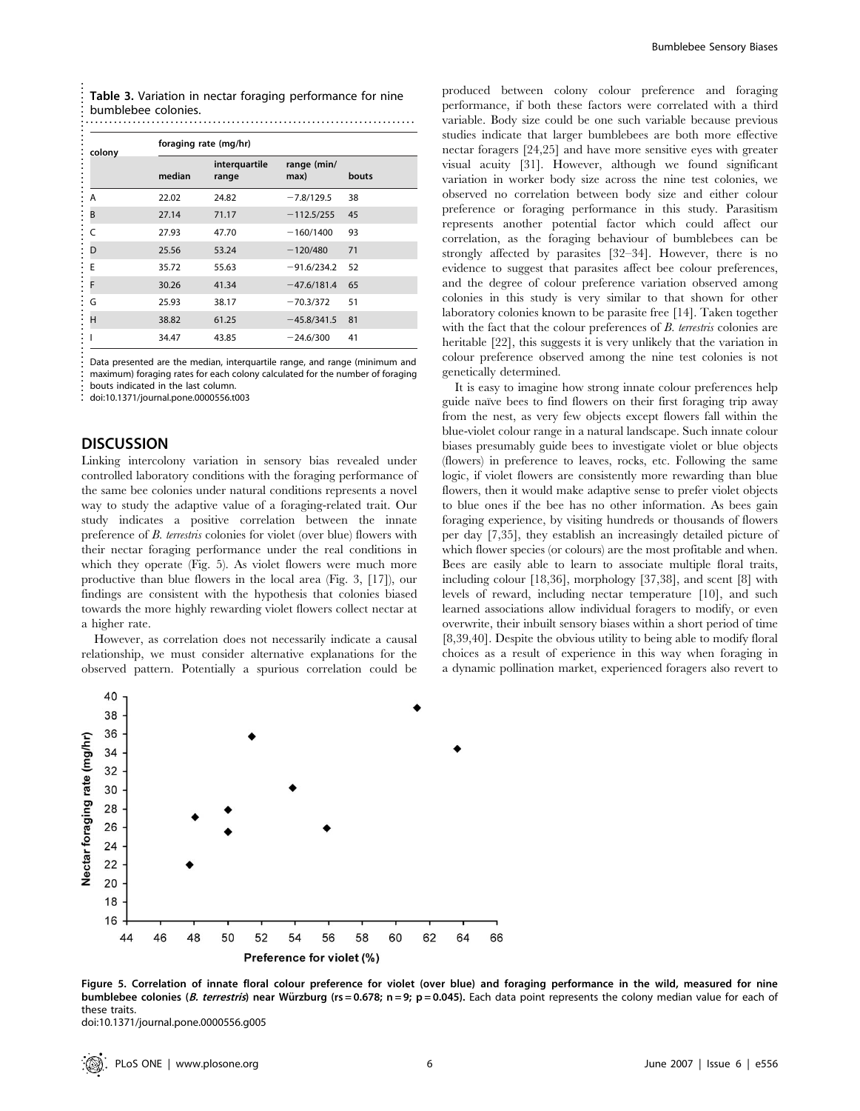| colony | foraging rate (mg/hr) |                        |                     |       |  |
|--------|-----------------------|------------------------|---------------------|-------|--|
|        | median                | interquartile<br>range | range (min/<br>max) | bouts |  |
| Α      | 22.02                 | 24.82                  | $-7.8/129.5$        | 38    |  |
| B      | 27.14                 | 71.17                  | $-112.5/255$        | 45    |  |
| C      | 27.93                 | 47.70                  | $-160/1400$         | 93    |  |
| D      | 25.56                 | 53.24                  | $-120/480$          | 71    |  |
| E      | 35.72                 | 55.63                  | $-91.6/234.2$       | 52    |  |
| F      | 30.26                 | 41.34                  | $-47.6/181.4$       | 65    |  |
| G      | 25.93                 | 38.17                  | $-70.3/372$         | 51    |  |
| н      | 38.82                 | 61.25                  | $-45.8/341.5$       | 81    |  |
|        | 34.47                 | 43.85                  | $-24.6/300$         | 41    |  |

doi:10.1371/journal.pone.0000556.t003

## **DISCUSSION**

Linking intercolony variation in sensory bias revealed under controlled laboratory conditions with the foraging performance of the same bee colonies under natural conditions represents a novel way to study the adaptive value of a foraging-related trait. Our study indicates a positive correlation between the innate preference of B. terrestris colonies for violet (over blue) flowers with their nectar foraging performance under the real conditions in which they operate (Fig. 5). As violet flowers were much more productive than blue flowers in the local area (Fig. 3, [17]), our findings are consistent with the hypothesis that colonies biased towards the more highly rewarding violet flowers collect nectar at a higher rate.

However, as correlation does not necessarily indicate a causal relationship, we must consider alternative explanations for the observed pattern. Potentially a spurious correlation could be produced between colony colour preference and foraging performance, if both these factors were correlated with a third variable. Body size could be one such variable because previous studies indicate that larger bumblebees are both more effective nectar foragers [24,25] and have more sensitive eyes with greater visual acuity [31]. However, although we found significant variation in worker body size across the nine test colonies, we observed no correlation between body size and either colour preference or foraging performance in this study. Parasitism represents another potential factor which could affect our correlation, as the foraging behaviour of bumblebees can be strongly affected by parasites [32–34]. However, there is no evidence to suggest that parasites affect bee colour preferences, and the degree of colour preference variation observed among colonies in this study is very similar to that shown for other laboratory colonies known to be parasite free [14]. Taken together with the fact that the colour preferences of B. terrestris colonies are heritable [22], this suggests it is very unlikely that the variation in colour preference observed among the nine test colonies is not genetically determined.

It is easy to imagine how strong innate colour preferences help guide naïve bees to find flowers on their first foraging trip away from the nest, as very few objects except flowers fall within the blue-violet colour range in a natural landscape. Such innate colour biases presumably guide bees to investigate violet or blue objects (flowers) in preference to leaves, rocks, etc. Following the same logic, if violet flowers are consistently more rewarding than blue flowers, then it would make adaptive sense to prefer violet objects to blue ones if the bee has no other information. As bees gain foraging experience, by visiting hundreds or thousands of flowers per day [7,35], they establish an increasingly detailed picture of which flower species (or colours) are the most profitable and when. Bees are easily able to learn to associate multiple floral traits, including colour [18,36], morphology [37,38], and scent [8] with levels of reward, including nectar temperature [10], and such learned associations allow individual foragers to modify, or even overwrite, their inbuilt sensory biases within a short period of time [8,39,40]. Despite the obvious utility to being able to modify floral choices as a result of experience in this way when foraging in a dynamic pollination market, experienced foragers also revert to



Figure 5. Correlation of innate floral colour preference for violet (over blue) and foraging performance in the wild, measured for nine bumblebee colonies (*B. terrestris*) near Würzburg (rs = 0.678; n = 9; p = 0.045). Each data point represents the colony median value for each of these traits.

doi:10.1371/journal.pone.0000556.g005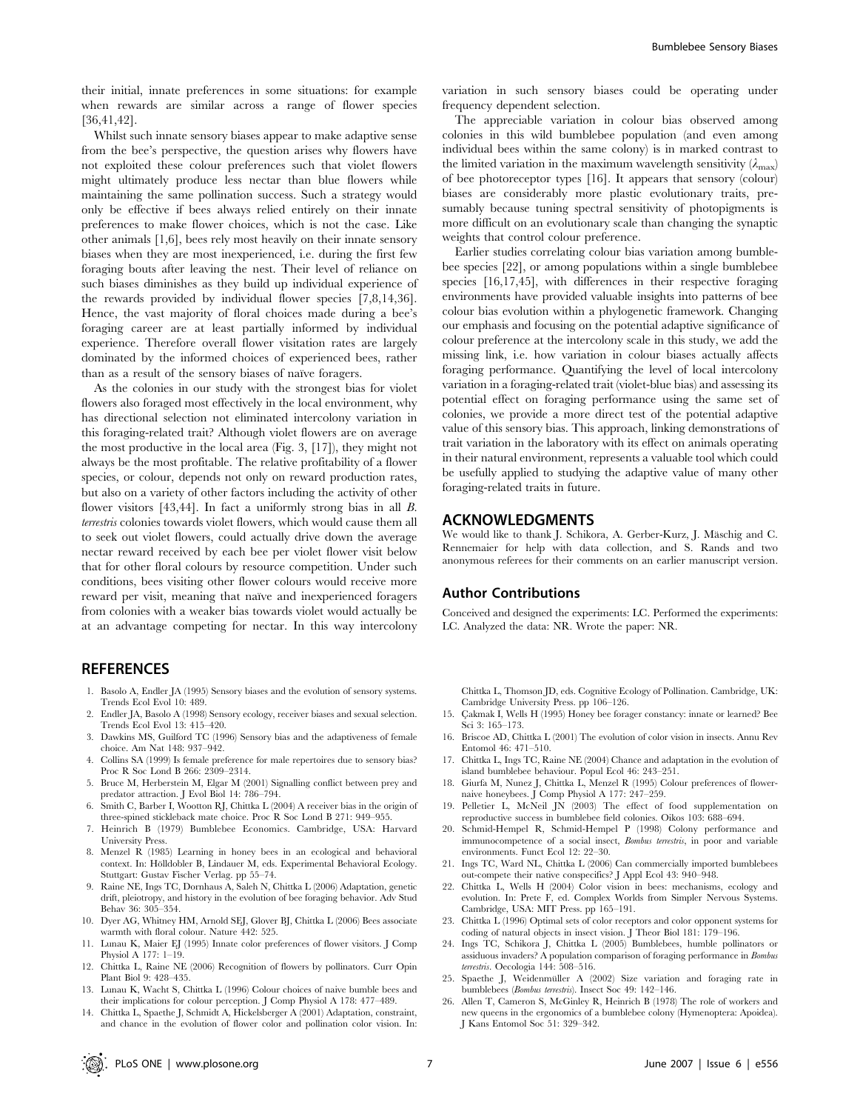their initial, innate preferences in some situations: for example when rewards are similar across a range of flower species [36,41,42].

Whilst such innate sensory biases appear to make adaptive sense from the bee's perspective, the question arises why flowers have not exploited these colour preferences such that violet flowers might ultimately produce less nectar than blue flowers while maintaining the same pollination success. Such a strategy would only be effective if bees always relied entirely on their innate preferences to make flower choices, which is not the case. Like other animals [1,6], bees rely most heavily on their innate sensory biases when they are most inexperienced, i.e. during the first few foraging bouts after leaving the nest. Their level of reliance on such biases diminishes as they build up individual experience of the rewards provided by individual flower species [7,8,14,36]. Hence, the vast majority of floral choices made during a bee's foraging career are at least partially informed by individual experience. Therefore overall flower visitation rates are largely dominated by the informed choices of experienced bees, rather than as a result of the sensory biases of naïve foragers.

As the colonies in our study with the strongest bias for violet flowers also foraged most effectively in the local environment, why has directional selection not eliminated intercolony variation in this foraging-related trait? Although violet flowers are on average the most productive in the local area (Fig. 3, [17]), they might not always be the most profitable. The relative profitability of a flower species, or colour, depends not only on reward production rates, but also on a variety of other factors including the activity of other flower visitors [43,44]. In fact a uniformly strong bias in all B. terrestris colonies towards violet flowers, which would cause them all to seek out violet flowers, could actually drive down the average nectar reward received by each bee per violet flower visit below that for other floral colours by resource competition. Under such conditions, bees visiting other flower colours would receive more reward per visit, meaning that naïve and inexperienced foragers from colonies with a weaker bias towards violet would actually be at an advantage competing for nectar. In this way intercolony

### **REFERENCES**

- 1. Basolo A, Endler JA (1995) Sensory biases and the evolution of sensory systems. Trends Ecol Evol 10: 489.
- 2. Endler JA, Basolo A (1998) Sensory ecology, receiver biases and sexual selection. Trends Ecol Evol 13: 415–420.
- 3. Dawkins MS, Guilford TC (1996) Sensory bias and the adaptiveness of female choice. Am Nat 148: 937–942.
- 4. Collins SA (1999) Is female preference for male repertoires due to sensory bias? Proc R Soc Lond B 266: 2309–2314.
- 5. Bruce M, Herberstein M, Elgar M (2001) Signalling conflict between prey and predator attraction. J Evol Biol 14: 786–794.
- 6. Smith C, Barber I, Wootton RJ, Chittka L (2004) A receiver bias in the origin of three-spined stickleback mate choice. Proc R Soc Lond B 271: 949–955.
- 7. Heinrich B (1979) Bumblebee Economics. Cambridge, USA: Harvard University Press.
- 8. Menzel R (1985) Learning in honey bees in an ecological and behavioral context. In: Hölldobler B, Lindauer M, eds. Experimental Behavioral Ecology. Stuttgart: Gustav Fischer Verlag. pp 55–74.
- 9. Raine NE, Ings TC, Dornhaus A, Saleh N, Chittka L (2006) Adaptation, genetic drift, pleiotropy, and history in the evolution of bee foraging behavior. Adv Stud Behav 36: 305–354.
- 10. Dyer AG, Whitney HM, Arnold SEJ, Glover BJ, Chittka L (2006) Bees associate warmth with floral colour. Nature 442: 525.
- 11. Lunau K, Maier EJ (1995) Innate color preferences of flower visitors. J Comp Physiol A 177: 1–19.
- 12. Chittka L, Raine NE (2006) Recognition of flowers by pollinators. Curr Opin Plant Biol 9: 428–435.
- 13. Lunau K, Wacht S, Chittka L (1996) Colour choices of naive bumble bees and their implications for colour perception. J Comp Physiol A 178: 477–489.
- 14. Chittka L, Spaethe J, Schmidt A, Hickelsberger A (2001) Adaptation, constraint, and chance in the evolution of flower color and pollination color vision. In:

variation in such sensory biases could be operating under frequency dependent selection.

The appreciable variation in colour bias observed among colonies in this wild bumblebee population (and even among individual bees within the same colony) is in marked contrast to the limited variation in the maximum wavelength sensitivity  $(\lambda_{\text{max}})$ of bee photoreceptor types [16]. It appears that sensory (colour) biases are considerably more plastic evolutionary traits, presumably because tuning spectral sensitivity of photopigments is more difficult on an evolutionary scale than changing the synaptic weights that control colour preference.

Earlier studies correlating colour bias variation among bumblebee species [22], or among populations within a single bumblebee species [16,17,45], with differences in their respective foraging environments have provided valuable insights into patterns of bee colour bias evolution within a phylogenetic framework. Changing our emphasis and focusing on the potential adaptive significance of colour preference at the intercolony scale in this study, we add the missing link, i.e. how variation in colour biases actually affects foraging performance. Quantifying the level of local intercolony variation in a foraging-related trait (violet-blue bias) and assessing its potential effect on foraging performance using the same set of colonies, we provide a more direct test of the potential adaptive value of this sensory bias. This approach, linking demonstrations of trait variation in the laboratory with its effect on animals operating in their natural environment, represents a valuable tool which could be usefully applied to studying the adaptive value of many other foraging-related traits in future.

## ACKNOWLEDGMENTS

We would like to thank J. Schikora, A. Gerber-Kurz, J. Mäschig and C. Rennemaier for help with data collection, and S. Rands and two anonymous referees for their comments on an earlier manuscript version.

### Author Contributions

Conceived and designed the experiments: LC. Performed the experiments: LC. Analyzed the data: NR. Wrote the paper: NR.

Chittka L, Thomson JD, eds. Cognitive Ecology of Pollination. Cambridge, UK: Cambridge University Press. pp 106–126.

- 15. Çakmak I, Wells H (1995) Honey bee forager constancy: innate or learned? Bee Sci 3: 165–173.
- 16. Briscoe AD, Chittka L (2001) The evolution of color vision in insects. Annu Rev Entomol 46: 471–510.
- 17. Chittka L, Ings TC, Raine NE (2004) Chance and adaptation in the evolution of island bumblebee behaviour. Popul Ecol 46: 243–251.
- 18. Giurfa M, Nunez J, Chittka L, Menzel R (1995) Colour preferences of flowernaive honeybees. J Comp Physiol A 177: 247–259.
- 19. Pelletier L, McNeil JN (2003) The effect of food supplementation on reproductive success in bumblebee field colonies. Oikos 103: 688–694.
- 20. Schmid-Hempel R, Schmid-Hempel P (1998) Colony performance and immunocompetence of a social insect, Bombus terrestris, in poor and variable environments. Funct Ecol 12: 22–30.
- 21. Ings TC, Ward NL, Chittka L (2006) Can commercially imported bumblebees out-compete their native conspecifics? J Appl Ecol 43: 940–948.
- 22. Chittka L, Wells H (2004) Color vision in bees: mechanisms, ecology and evolution. In: Prete F, ed. Complex Worlds from Simpler Nervous Systems. Cambridge, USA: MIT Press. pp 165–191.
- 23. Chittka L (1996) Optimal sets of color receptors and color opponent systems for coding of natural objects in insect vision. J Theor Biol 181: 179-196.
- 24. Ings TC, Schikora J, Chittka L (2005) Bumblebees, humble pollinators or assiduous invaders? A population comparison of foraging performance in Bombus terrestris. Oecologia 144: 508–516.
- 25. Spaethe J, Weidenmüller A (2002) Size variation and foraging rate in bumblebees (Bombus terrestris). Insect Soc 49: 142–146.
- 26. Allen T, Cameron S, McGinley R, Heinrich B (1978) The role of workers and new queens in the ergonomics of a bumblebee colony (Hymenoptera: Apoidea). J Kans Entomol Soc 51: 329–342.